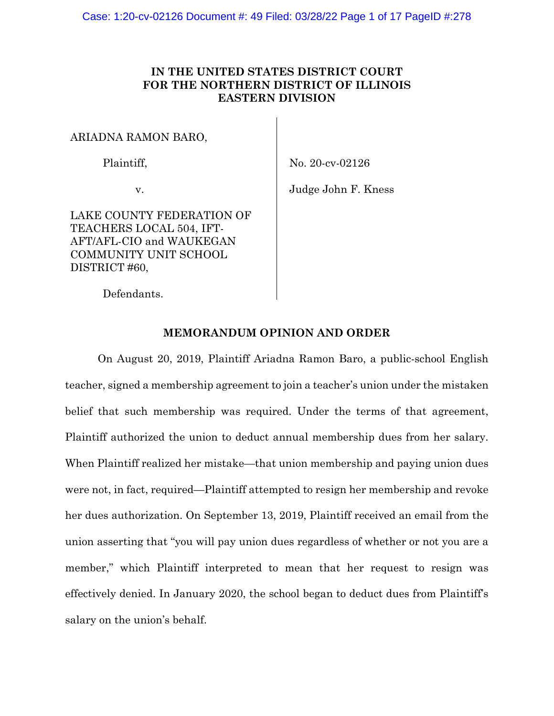## **IN THE UNITED STATES DISTRICT COURT FOR THE NORTHERN DISTRICT OF ILLINOIS EASTERN DIVISION**

ARIADNA RAMON BARO,

Plaintiff,

No. 20-cv-02126

v.

Judge John F. Kness

LAKE COUNTY FEDERATION OF TEACHERS LOCAL 504, IFT-AFT/AFL-CIO and WAUKEGAN COMMUNITY UNIT SCHOOL DISTRICT #60,

Defendants.

## **MEMORANDUM OPINION AND ORDER**

On August 20, 2019, Plaintiff Ariadna Ramon Baro, a public-school English teacher, signed a membership agreement to join a teacher's union under the mistaken belief that such membership was required. Under the terms of that agreement, Plaintiff authorized the union to deduct annual membership dues from her salary. When Plaintiff realized her mistake—that union membership and paying union dues were not, in fact, required—Plaintiff attempted to resign her membership and revoke her dues authorization. On September 13, 2019, Plaintiff received an email from the union asserting that "you will pay union dues regardless of whether or not you are a member," which Plaintiff interpreted to mean that her request to resign was effectively denied. In January 2020, the school began to deduct dues from Plaintiff's salary on the union's behalf.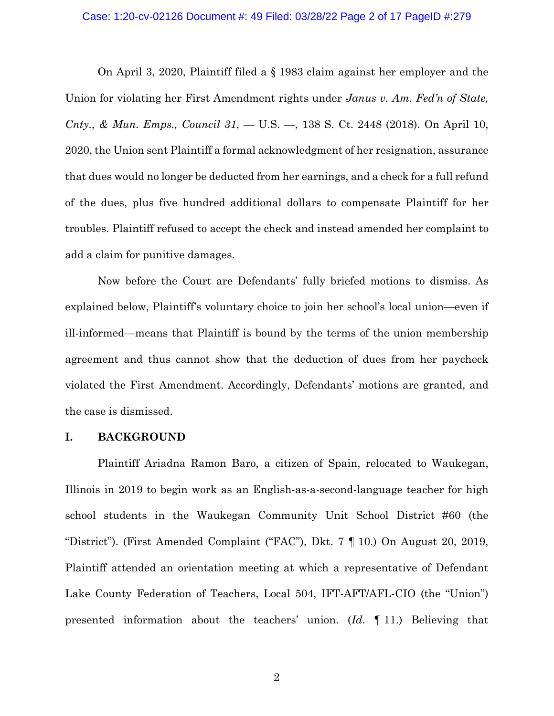#### Case: 1:20-cv-02126 Document #: 49 Filed: 03/28/22 Page 2 of 17 PageID #:279

On April 3, 2020, Plaintiff filed a § 1983 claim against her employer and the Union for violating her First Amendment rights under *Janus v. Am. Fed'n of State, Cnty., & Mun. Emps., Council 31*, — U.S. —, 138 S. Ct. 2448 (2018). On April 10, 2020, the Union sent Plaintiff a formal acknowledgment of her resignation, assurance that dues would no longer be deducted from her earnings, and a check for a full refund of the dues, plus five hundred additional dollars to compensate Plaintiff for her troubles. Plaintiff refused to accept the check and instead amended her complaint to add a claim for punitive damages.

Now before the Court are Defendants' fully briefed motions to dismiss. As explained below, Plaintiff's voluntary choice to join her school's local union—even if ill-informed—means that Plaintiff is bound by the terms of the union membership agreement and thus cannot show that the deduction of dues from her paycheck violated the First Amendment. Accordingly, Defendants' motions are granted, and the case is dismissed.

### **I. BACKGROUND**

Plaintiff Ariadna Ramon Baro, a citizen of Spain, relocated to Waukegan, Illinois in 2019 to begin work as an English-as-a-second-language teacher for high school students in the Waukegan Community Unit School District #60 (the "District"). (First Amended Complaint ("FAC"), Dkt. 7 ¶ 10.) On August 20, 2019, Plaintiff attended an orientation meeting at which a representative of Defendant Lake County Federation of Teachers, Local 504, IFT-AFT/AFL-CIO (the "Union") presented information about the teachers' union. (*Id*. ¶ 11.) Believing that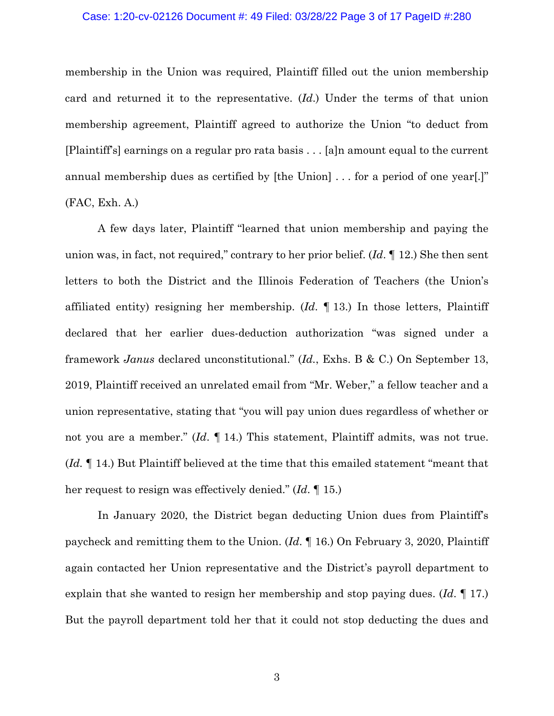### Case: 1:20-cv-02126 Document #: 49 Filed: 03/28/22 Page 3 of 17 PageID #:280

membership in the Union was required, Plaintiff filled out the union membership card and returned it to the representative. (*Id*.) Under the terms of that union membership agreement, Plaintiff agreed to authorize the Union "to deduct from [Plaintiff's] earnings on a regular pro rata basis . . . [a]n amount equal to the current annual membership dues as certified by [the Union] . . . for a period of one year[.]" (FAC, Exh. A.)

A few days later, Plaintiff "learned that union membership and paying the union was, in fact, not required," contrary to her prior belief. (*Id*. ¶ 12.) She then sent letters to both the District and the Illinois Federation of Teachers (the Union's affiliated entity) resigning her membership. (*Id*. ¶ 13.) In those letters, Plaintiff declared that her earlier dues-deduction authorization "was signed under a framework *Janus* declared unconstitutional." (*Id.*, Exhs. B & C.) On September 13, 2019, Plaintiff received an unrelated email from "Mr. Weber," a fellow teacher and a union representative, stating that "you will pay union dues regardless of whether or not you are a member." (*Id*. ¶ 14.) This statement, Plaintiff admits, was not true. (*Id.* ¶ 14.) But Plaintiff believed at the time that this emailed statement "meant that her request to resign was effectively denied." (*Id*. ¶ 15.)

In January 2020, the District began deducting Union dues from Plaintiff's paycheck and remitting them to the Union. (*Id*. ¶ 16.) On February 3, 2020, Plaintiff again contacted her Union representative and the District's payroll department to explain that she wanted to resign her membership and stop paying dues. (*Id*. ¶ 17.) But the payroll department told her that it could not stop deducting the dues and

3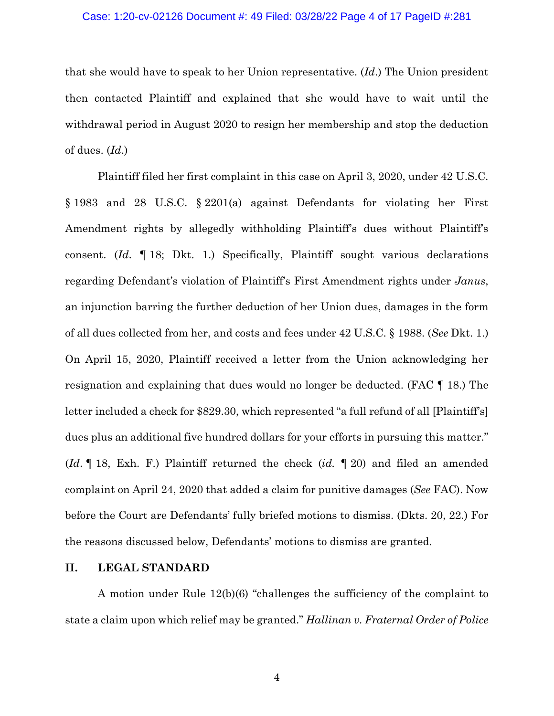## Case: 1:20-cv-02126 Document #: 49 Filed: 03/28/22 Page 4 of 17 PageID #:281

that she would have to speak to her Union representative. (*Id*.) The Union president then contacted Plaintiff and explained that she would have to wait until the withdrawal period in August 2020 to resign her membership and stop the deduction of dues. (*Id*.)

Plaintiff filed her first complaint in this case on April 3, 2020, under 42 U.S.C. § 1983 and 28 U.S.C. § 2201(a) against Defendants for violating her First Amendment rights by allegedly withholding Plaintiff's dues without Plaintiff's consent. (*Id*. ¶ 18; Dkt. 1.) Specifically, Plaintiff sought various declarations regarding Defendant's violation of Plaintiff's First Amendment rights under *Janus*, an injunction barring the further deduction of her Union dues, damages in the form of all dues collected from her, and costs and fees under 42 U.S.C. § 1988. (*See* Dkt. 1.) On April 15, 2020, Plaintiff received a letter from the Union acknowledging her resignation and explaining that dues would no longer be deducted. (FAC ¶ 18.) The letter included a check for \$829.30, which represented "a full refund of all [Plaintiff's] dues plus an additional five hundred dollars for your efforts in pursuing this matter." (*Id*. ¶ 18, Exh. F.) Plaintiff returned the check (*id.* ¶ 20) and filed an amended complaint on April 24, 2020 that added a claim for punitive damages (*See* FAC). Now before the Court are Defendants' fully briefed motions to dismiss. (Dkts. 20, 22.) For the reasons discussed below, Defendants' motions to dismiss are granted.

## **II. LEGAL STANDARD**

A motion under Rule 12(b)(6) "challenges the sufficiency of the complaint to state a claim upon which relief may be granted." *Hallinan v. Fraternal Order of Police*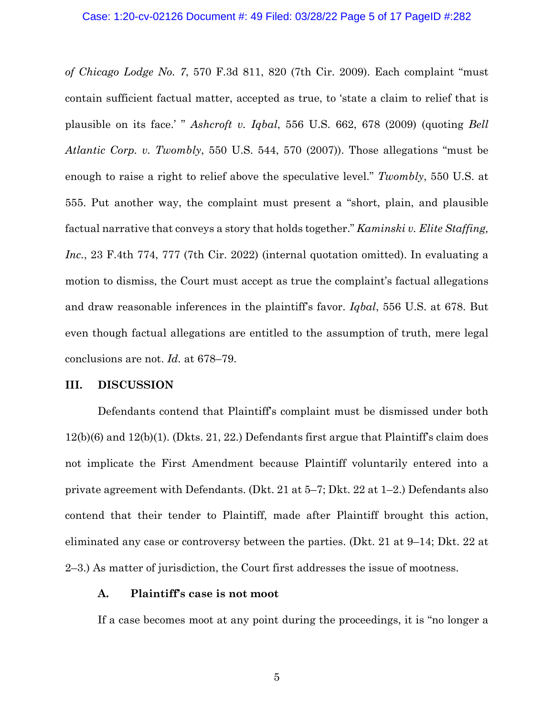*of Chicago Lodge No. 7*, 570 F.3d 811, 820 (7th Cir. 2009). Each complaint "must contain sufficient factual matter, accepted as true, to 'state a claim to relief that is plausible on its face.' " *Ashcroft v. Iqbal*, 556 U.S. 662, 678 (2009) (quoting *Bell Atlantic Corp. v. Twombly*, 550 U.S. 544, 570 (2007)). Those allegations "must be enough to raise a right to relief above the speculative level." *Twombly*, 550 U.S. at 555. Put another way, the complaint must present a "short, plain, and plausible factual narrative that conveys a story that holds together." *Kaminski v. Elite Staffing, Inc.*, 23 F.4th 774, 777 (7th Cir. 2022) (internal quotation omitted). In evaluating a motion to dismiss, the Court must accept as true the complaint's factual allegations and draw reasonable inferences in the plaintiff's favor. *Iqbal*, 556 U.S. at 678. But even though factual allegations are entitled to the assumption of truth, mere legal conclusions are not. *Id.* at 678–79.

### **III. DISCUSSION**

Defendants contend that Plaintiff's complaint must be dismissed under both 12(b)(6) and 12(b)(1). (Dkts. 21, 22.) Defendants first argue that Plaintiff's claim does not implicate the First Amendment because Plaintiff voluntarily entered into a private agreement with Defendants. (Dkt. 21 at 5–7; Dkt. 22 at 1–2.) Defendants also contend that their tender to Plaintiff, made after Plaintiff brought this action, eliminated any case or controversy between the parties. (Dkt. 21 at 9–14; Dkt. 22 at 2–3.) As matter of jurisdiction, the Court first addresses the issue of mootness.

## **A. Plaintiff's case is not moot**

If a case becomes moot at any point during the proceedings, it is "no longer a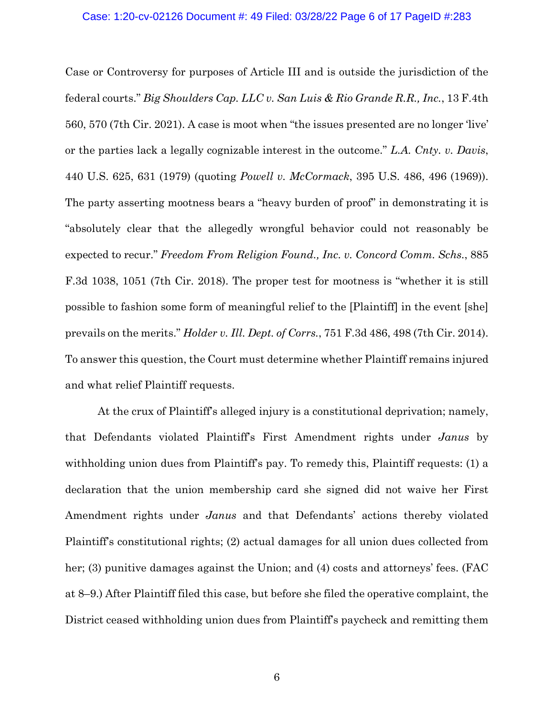### Case: 1:20-cv-02126 Document #: 49 Filed: 03/28/22 Page 6 of 17 PageID #:283

Case or Controversy for purposes of Article III and is outside the jurisdiction of the federal courts." *Big Shoulders Cap. LLC v. San Luis & Rio Grande R.R., Inc.*, 13 F.4th 560, 570 (7th Cir. 2021). A case is moot when "the issues presented are no longer 'live' or the parties lack a legally cognizable interest in the outcome." *L.A. Cnty. v. Davis*, 440 U.S. 625, 631 (1979) (quoting *Powell v. McCormack*, 395 U.S. 486, 496 (1969)). The party asserting mootness bears a "heavy burden of proof" in demonstrating it is "absolutely clear that the allegedly wrongful behavior could not reasonably be expected to recur." *Freedom From Religion Found., Inc. v. Concord Comm. Schs.*, 885 F.3d 1038, 1051 (7th Cir. 2018). The proper test for mootness is "whether it is still possible to fashion some form of meaningful relief to the [Plaintiff] in the event [she] prevails on the merits." *Holder v. Ill. Dept. of Corrs.*, 751 F.3d 486, 498 (7th Cir. 2014). To answer this question, the Court must determine whether Plaintiff remains injured and what relief Plaintiff requests.

At the crux of Plaintiff's alleged injury is a constitutional deprivation; namely, that Defendants violated Plaintiff's First Amendment rights under *Janus* by withholding union dues from Plaintiff's pay. To remedy this, Plaintiff requests: (1) a declaration that the union membership card she signed did not waive her First Amendment rights under *Janus* and that Defendants' actions thereby violated Plaintiff's constitutional rights; (2) actual damages for all union dues collected from her; (3) punitive damages against the Union; and (4) costs and attorneys' fees. (FAC at 8–9.) After Plaintiff filed this case, but before she filed the operative complaint, the District ceased withholding union dues from Plaintiff's paycheck and remitting them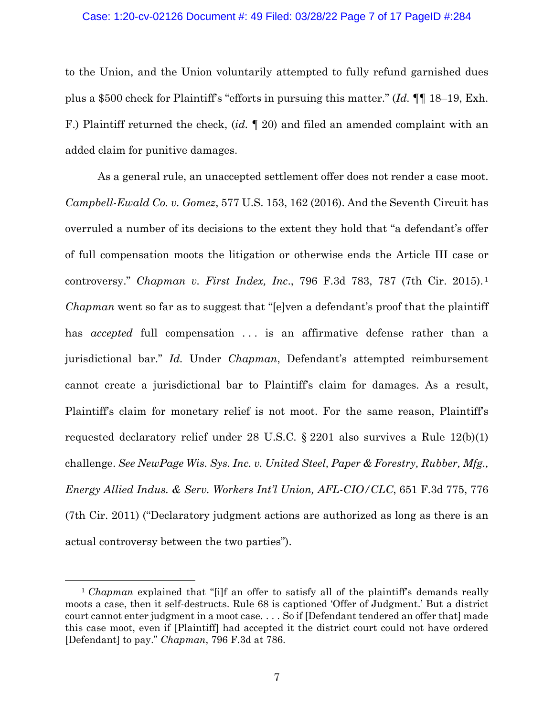#### Case: 1:20-cv-02126 Document #: 49 Filed: 03/28/22 Page 7 of 17 PageID #:284

to the Union, and the Union voluntarily attempted to fully refund garnished dues plus a \$500 check for Plaintiff's "efforts in pursuing this matter." (*Id.* ¶¶ 18–19, Exh. F.) Plaintiff returned the check, (*id.* ¶ 20) and filed an amended complaint with an added claim for punitive damages.

As a general rule, an unaccepted settlement offer does not render a case moot. *Campbell-Ewald Co. v. Gomez*, 577 U.S. 153, 162 (2016). And the Seventh Circuit has overruled a number of its decisions to the extent they hold that "a defendant's offer of full compensation moots the litigation or otherwise ends the Article III case or controversy." *Chapman v. First Index, Inc*., 796 F.3d 783, 787 (7th Cir. 2015). <sup>1</sup> *Chapman* went so far as to suggest that "[e]ven a defendant's proof that the plaintiff has *accepted* full compensation ... is an affirmative defense rather than a jurisdictional bar." *Id.* Under *Chapman*, Defendant's attempted reimbursement cannot create a jurisdictional bar to Plaintiff's claim for damages. As a result, Plaintiff's claim for monetary relief is not moot. For the same reason, Plaintiff's requested declaratory relief under 28 U.S.C. § 2201 also survives a Rule 12(b)(1) challenge. *See NewPage Wis. Sys. Inc. v. United Steel, Paper & Forestry, Rubber, Mfg., Energy Allied Indus. & Serv. Workers Int'l Union, AFL-CIO/CLC*, 651 F.3d 775, 776 (7th Cir. 2011) ("Declaratory judgment actions are authorized as long as there is an actual controversy between the two parties").

<sup>&</sup>lt;sup>1</sup> *Chapman* explained that "[i]f an offer to satisfy all of the plaintiff's demands really moots a case, then it self-destructs. Rule 68 is captioned 'Offer of Judgment.' But a district court cannot enter judgment in a moot case. . . . So if [Defendant tendered an offer that] made this case moot, even if [Plaintiff] had accepted it the district court could not have ordered [Defendant] to pay." *Chapman*, 796 F.3d at 786.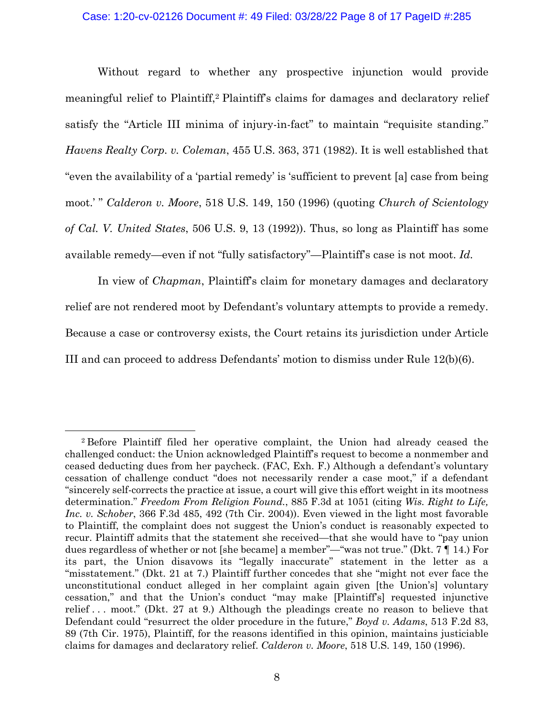Without regard to whether any prospective injunction would provide meaningful relief to Plaintiff,2 Plaintiff's claims for damages and declaratory relief satisfy the "Article III minima of injury-in-fact" to maintain "requisite standing." *Havens Realty Corp. v. Coleman*, 455 U.S. 363, 371 (1982). It is well established that "even the availability of a 'partial remedy' is 'sufficient to prevent [a] case from being moot.' " *Calderon v. Moore*, 518 U.S. 149, 150 (1996) (quoting *Church of Scientology of Cal. V. United States*, 506 U.S. 9, 13 (1992)). Thus, so long as Plaintiff has some available remedy—even if not "fully satisfactory"—Plaintiff's case is not moot. *Id.*

In view of *Chapman*, Plaintiff's claim for monetary damages and declaratory relief are not rendered moot by Defendant's voluntary attempts to provide a remedy. Because a case or controversy exists, the Court retains its jurisdiction under Article III and can proceed to address Defendants' motion to dismiss under Rule 12(b)(6).

<sup>2</sup> Before Plaintiff filed her operative complaint, the Union had already ceased the challenged conduct: the Union acknowledged Plaintiff's request to become a nonmember and ceased deducting dues from her paycheck. (FAC, Exh. F.) Although a defendant's voluntary cessation of challenge conduct "does not necessarily render a case moot," if a defendant "sincerely self-corrects the practice at issue, a court will give this effort weight in its mootness determination." *Freedom From Religion Found.*, 885 F.3d at 1051 (citing *Wis. Right to Life, Inc. v. Schober*, 366 F.3d 485, 492 (7th Cir. 2004)). Even viewed in the light most favorable to Plaintiff, the complaint does not suggest the Union's conduct is reasonably expected to recur. Plaintiff admits that the statement she received—that she would have to "pay union dues regardless of whether or not [she became] a member"—"was not true." (Dkt. 7 ¶ 14.) For its part, the Union disavows its "legally inaccurate" statement in the letter as a "misstatement." (Dkt. 21 at 7.) Plaintiff further concedes that she "might not ever face the unconstitutional conduct alleged in her complaint again given [the Union's] voluntary cessation," and that the Union's conduct "may make [Plaintiff's] requested injunctive relief . . . moot." (Dkt. 27 at 9.) Although the pleadings create no reason to believe that Defendant could "resurrect the older procedure in the future," *Boyd v. Adams*, 513 F.2d 83, 89 (7th Cir. 1975), Plaintiff, for the reasons identified in this opinion, maintains justiciable claims for damages and declaratory relief. *Calderon v. Moore*, 518 U.S. 149, 150 (1996).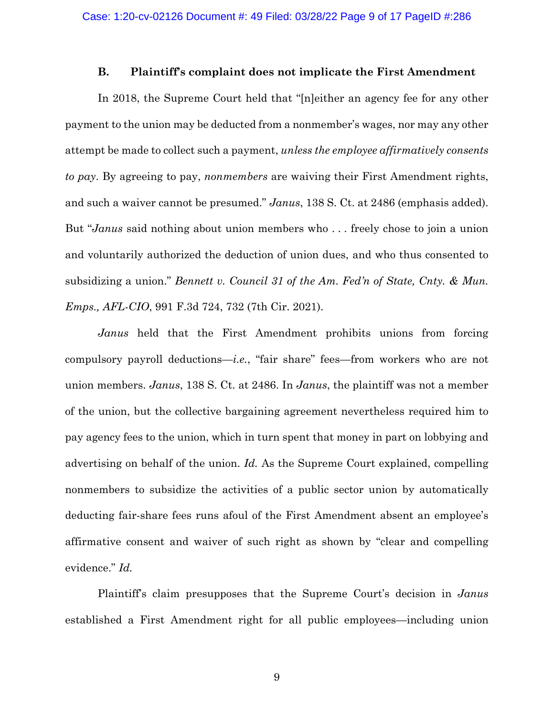## **B. Plaintiff's complaint does not implicate the First Amendment**

In 2018, the Supreme Court held that "[n]either an agency fee for any other payment to the union may be deducted from a nonmember's wages, nor may any other attempt be made to collect such a payment, *unless the employee affirmatively consents to pay*. By agreeing to pay, *nonmembers* are waiving their First Amendment rights, and such a waiver cannot be presumed." *Janus*, 138 S. Ct. at 2486 (emphasis added). But "*Janus* said nothing about union members who . . . freely chose to join a union and voluntarily authorized the deduction of union dues, and who thus consented to subsidizing a union." *Bennett v. Council 31 of the Am. Fed'n of State, Cnty. & Mun. Emps., AFL-CIO*, 991 F.3d 724, 732 (7th Cir. 2021).

*Janus* held that the First Amendment prohibits unions from forcing compulsory payroll deductions—*i.e.*, "fair share" fees—from workers who are not union members. *Janus*, 138 S. Ct. at 2486. In *Janus*, the plaintiff was not a member of the union, but the collective bargaining agreement nevertheless required him to pay agency fees to the union, which in turn spent that money in part on lobbying and advertising on behalf of the union. *Id.* As the Supreme Court explained, compelling nonmembers to subsidize the activities of a public sector union by automatically deducting fair-share fees runs afoul of the First Amendment absent an employee's affirmative consent and waiver of such right as shown by "clear and compelling evidence." *Id.*

Plaintiff's claim presupposes that the Supreme Court's decision in *Janus* established a First Amendment right for all public employees—including union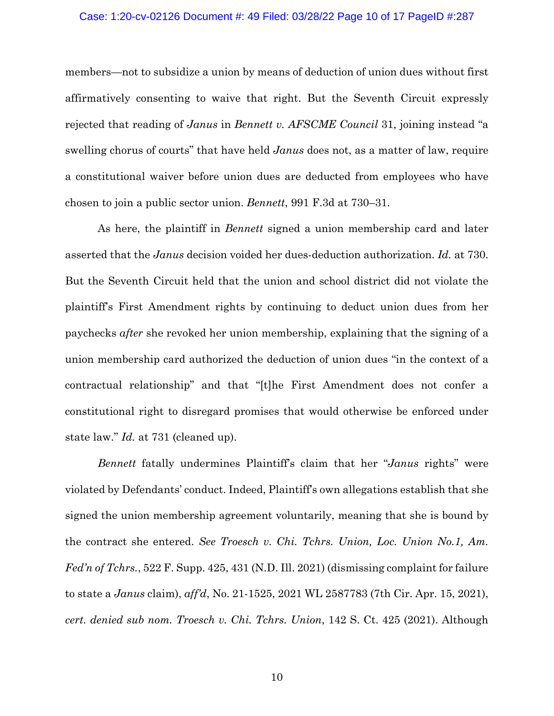#### Case: 1:20-cv-02126 Document #: 49 Filed: 03/28/22 Page 10 of 17 PageID #:287

members—not to subsidize a union by means of deduction of union dues without first affirmatively consenting to waive that right. But the Seventh Circuit expressly rejected that reading of *Janus* in *Bennett v. AFSCME Council* 31, joining instead "a swelling chorus of courts" that have held *Janus* does not, as a matter of law, require a constitutional waiver before union dues are deducted from employees who have chosen to join a public sector union. *Bennett*, 991 F.3d at 730–31.

As here, the plaintiff in *Bennett* signed a union membership card and later asserted that the *Janus* decision voided her dues-deduction authorization. *Id.* at 730. But the Seventh Circuit held that the union and school district did not violate the plaintiff's First Amendment rights by continuing to deduct union dues from her paychecks *after* she revoked her union membership, explaining that the signing of a union membership card authorized the deduction of union dues "in the context of a contractual relationship" and that "[t]he First Amendment does not confer a constitutional right to disregard promises that would otherwise be enforced under state law." *Id.* at 731 (cleaned up).

*Bennett* fatally undermines Plaintiff's claim that her "*Janus* rights" were violated by Defendants' conduct. Indeed, Plaintiff's own allegations establish that she signed the union membership agreement voluntarily, meaning that she is bound by the contract she entered. *See Troesch v. Chi. Tchrs. Union, Loc. Union No.1, Am. Fed'n of Tchrs.*, 522 F. Supp. 425, 431 (N.D. Ill. 2021) (dismissing complaint for failure to state a *Janus* claim), *aff'd*, No. 21-1525, 2021 WL 2587783 (7th Cir. Apr. 15, 2021), *cert. denied sub nom. Troesch v. Chi. Tchrs. Union*, 142 S. Ct. 425 (2021). Although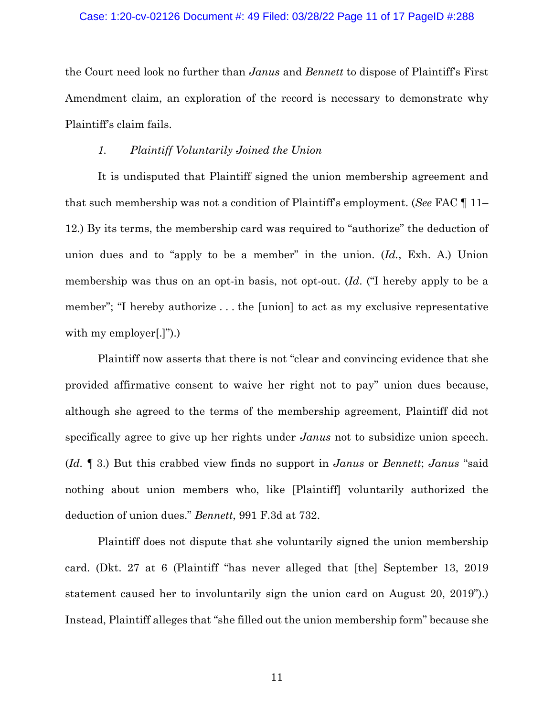#### Case: 1:20-cv-02126 Document #: 49 Filed: 03/28/22 Page 11 of 17 PageID #:288

the Court need look no further than *Janus* and *Bennett* to dispose of Plaintiff's First Amendment claim, an exploration of the record is necessary to demonstrate why Plaintiff's claim fails.

### *1. Plaintiff Voluntarily Joined the Union*

 It is undisputed that Plaintiff signed the union membership agreement and that such membership was not a condition of Plaintiff's employment. (*See* FAC ¶ 11– 12.) By its terms, the membership card was required to "authorize" the deduction of union dues and to "apply to be a member" in the union. (*Id.*, Exh. A.) Union membership was thus on an opt-in basis, not opt-out. (*Id*. ("I hereby apply to be a member"; "I hereby authorize . . . the [union] to act as my exclusive representative with my employer[.]").)

Plaintiff now asserts that there is not "clear and convincing evidence that she provided affirmative consent to waive her right not to pay" union dues because, although she agreed to the terms of the membership agreement, Plaintiff did not specifically agree to give up her rights under *Janus* not to subsidize union speech. (*Id.* ¶ 3.) But this crabbed view finds no support in *Janus* or *Bennett*; *Janus* "said nothing about union members who, like [Plaintiff] voluntarily authorized the deduction of union dues." *Bennett*, 991 F.3d at 732.

Plaintiff does not dispute that she voluntarily signed the union membership card. (Dkt. 27 at 6 (Plaintiff "has never alleged that [the] September 13, 2019 statement caused her to involuntarily sign the union card on August 20, 2019").) Instead, Plaintiff alleges that "she filled out the union membership form" because she

11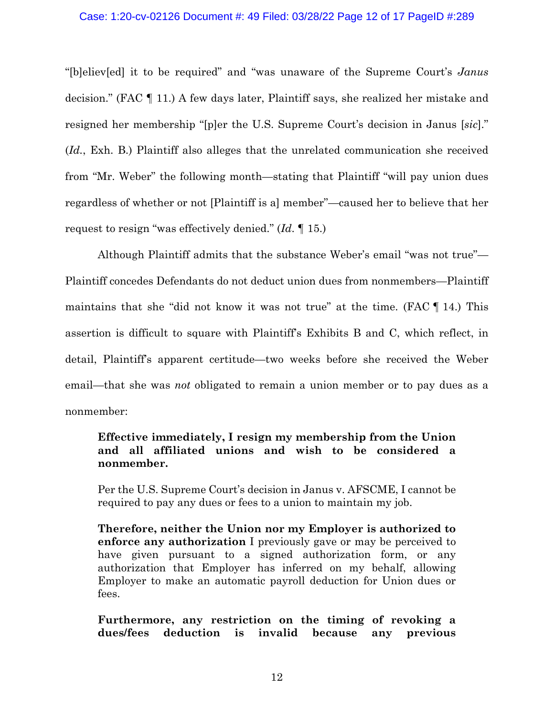## Case: 1:20-cv-02126 Document #: 49 Filed: 03/28/22 Page 12 of 17 PageID #:289

"[b]eliev[ed] it to be required" and "was unaware of the Supreme Court's *Janus* decision." (FAC ¶ 11.) A few days later, Plaintiff says, she realized her mistake and resigned her membership "[p]er the U.S. Supreme Court's decision in Janus [*sic*]." (*Id.*, Exh. B.) Plaintiff also alleges that the unrelated communication she received from "Mr. Weber" the following month—stating that Plaintiff "will pay union dues regardless of whether or not [Plaintiff is a] member"—caused her to believe that her request to resign "was effectively denied." (*Id*. ¶ 15.)

Although Plaintiff admits that the substance Weber's email "was not true"— Plaintiff concedes Defendants do not deduct union dues from nonmembers—Plaintiff maintains that she "did not know it was not true" at the time. (FAC ¶ 14.) This assertion is difficult to square with Plaintiff's Exhibits B and C, which reflect, in detail, Plaintiff's apparent certitude—two weeks before she received the Weber email—that she was *not* obligated to remain a union member or to pay dues as a nonmember:

# **Effective immediately, I resign my membership from the Union and all affiliated unions and wish to be considered a nonmember.**

Per the U.S. Supreme Court's decision in Janus v. AFSCME, I cannot be required to pay any dues or fees to a union to maintain my job.

**Therefore, neither the Union nor my Employer is authorized to enforce any authorization** I previously gave or may be perceived to have given pursuant to a signed authorization form, or any authorization that Employer has inferred on my behalf, allowing Employer to make an automatic payroll deduction for Union dues or fees.

**Furthermore, any restriction on the timing of revoking a dues/fees deduction is invalid because any previous**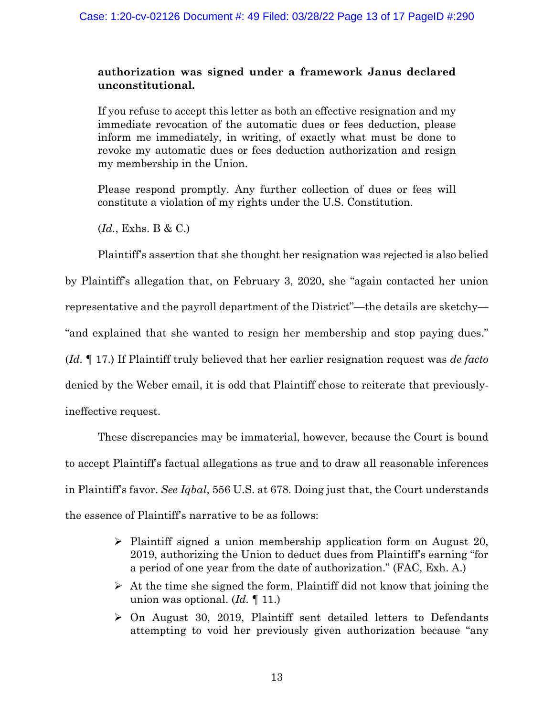# **authorization was signed under a framework Janus declared unconstitutional.**

If you refuse to accept this letter as both an effective resignation and my immediate revocation of the automatic dues or fees deduction, please inform me immediately, in writing, of exactly what must be done to revoke my automatic dues or fees deduction authorization and resign my membership in the Union.

Please respond promptly. Any further collection of dues or fees will constitute a violation of my rights under the U.S. Constitution.

(*Id.*, Exhs. B & C.)

Plaintiff's assertion that she thought her resignation was rejected is also belied

by Plaintiff's allegation that, on February 3, 2020, she "again contacted her union representative and the payroll department of the District"—the details are sketchy— "and explained that she wanted to resign her membership and stop paying dues." (*Id.* ¶ 17.) If Plaintiff truly believed that her earlier resignation request was *de facto* denied by the Weber email, it is odd that Plaintiff chose to reiterate that previouslyineffective request.

These discrepancies may be immaterial, however, because the Court is bound to accept Plaintiff's factual allegations as true and to draw all reasonable inferences in Plaintiff's favor. *See Iqbal*, 556 U.S. at 678. Doing just that, the Court understands the essence of Plaintiff's narrative to be as follows:

- $\triangleright$  Plaintiff signed a union membership application form on August 20, 2019, authorizing the Union to deduct dues from Plaintiff's earning "for a period of one year from the date of authorization." (FAC, Exh. A.)
- $\triangleright$  At the time she signed the form, Plaintiff did not know that joining the union was optional. (*Id.* ¶ 11.)
- $\triangleright$  On August 30, 2019, Plaintiff sent detailed letters to Defendants attempting to void her previously given authorization because "any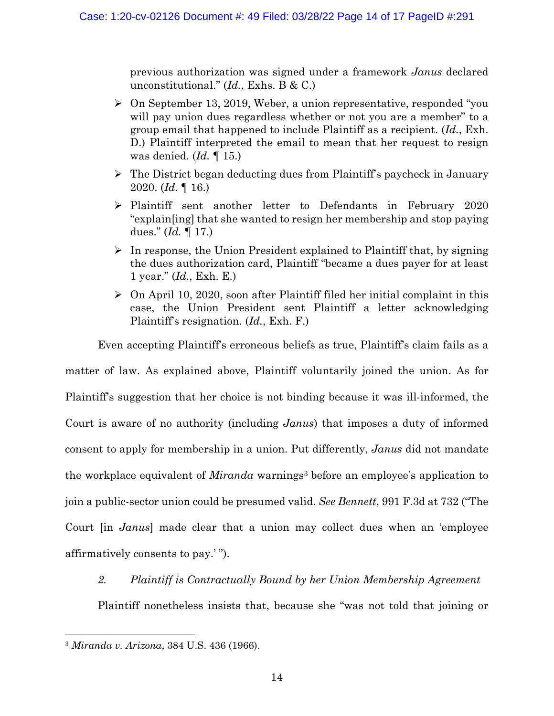previous authorization was signed under a framework *Janus* declared unconstitutional." (*Id.*, Exhs. B & C.)

- $\geq$  On September 13, 2019, Weber, a union representative, responded "you will pay union dues regardless whether or not you are a member" to a group email that happened to include Plaintiff as a recipient. (*Id.*, Exh. D.) Plaintiff interpreted the email to mean that her request to resign was denied. (*Id.* ¶ 15.)
- $\triangleright$  The District began deducting dues from Plaintiff's paycheck in January 2020. (*Id.* ¶ 16.)
- $\triangleright$  Plaintiff sent another letter to Defendants in February 2020 "explain[ing] that she wanted to resign her membership and stop paying dues." (*Id.* ¶ 17.)
- $\triangleright$  In response, the Union President explained to Plaintiff that, by signing the dues authorization card, Plaintiff "became a dues payer for at least 1 year." (*Id.*, Exh. E.)
- $\triangleright$  On April 10, 2020, soon after Plaintiff filed her initial complaint in this case, the Union President sent Plaintiff a letter acknowledging Plaintiff's resignation. (*Id.*, Exh. F.)

Even accepting Plaintiff's erroneous beliefs as true, Plaintiff's claim fails as a

matter of law. As explained above, Plaintiff voluntarily joined the union. As for Plaintiff's suggestion that her choice is not binding because it was ill-informed, the Court is aware of no authority (including *Janus*) that imposes a duty of informed consent to apply for membership in a union. Put differently, *Janus* did not mandate the workplace equivalent of *Miranda* warnings<sup>3</sup> before an employee's application to join a public-sector union could be presumed valid. *See Bennett*, 991 F.3d at 732 ("The Court [in *Janus*] made clear that a union may collect dues when an 'employee affirmatively consents to pay.' ").

# *2. Plaintiff is Contractually Bound by her Union Membership Agreement*

Plaintiff nonetheless insists that, because she "was not told that joining or

<sup>3</sup> *Miranda v. Arizona*, 384 U.S. 436 (1966).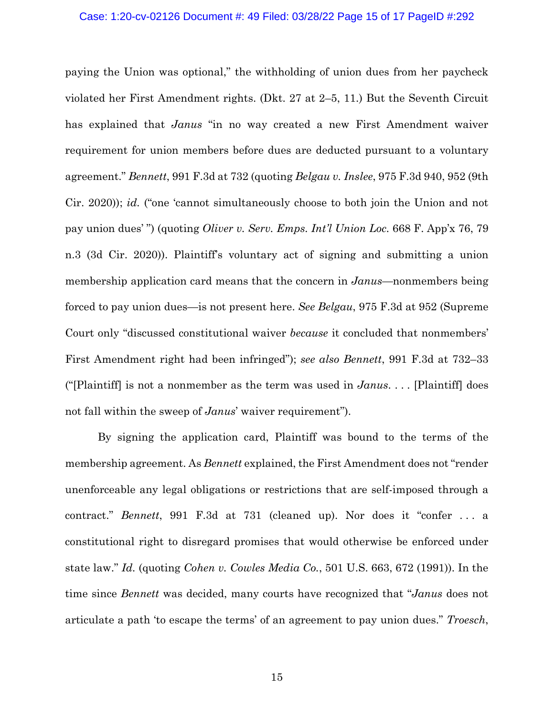## Case: 1:20-cv-02126 Document #: 49 Filed: 03/28/22 Page 15 of 17 PageID #:292

paying the Union was optional," the withholding of union dues from her paycheck violated her First Amendment rights. (Dkt. 27 at 2–5, 11.) But the Seventh Circuit has explained that *Janus* "in no way created a new First Amendment waiver requirement for union members before dues are deducted pursuant to a voluntary agreement." *Bennett*, 991 F.3d at 732 (quoting *Belgau v. Inslee*, 975 F.3d 940, 952 (9th Cir. 2020)); *id.* ("one 'cannot simultaneously choose to both join the Union and not pay union dues' ") (quoting *Oliver v. Serv. Emps. Int'l Union Loc.* 668 F. App'x 76, 79 n.3 (3d Cir. 2020)). Plaintiff's voluntary act of signing and submitting a union membership application card means that the concern in *Janus*—nonmembers being forced to pay union dues—is not present here. *See Belgau*, 975 F.3d at 952 (Supreme Court only "discussed constitutional waiver *because* it concluded that nonmembers' First Amendment right had been infringed"); *see also Bennett*, 991 F.3d at 732–33 ("[Plaintiff] is not a nonmember as the term was used in *Janus*. . . . [Plaintiff] does not fall within the sweep of *Janus*' waiver requirement").

By signing the application card, Plaintiff was bound to the terms of the membership agreement. As *Bennett* explained, the First Amendment does not "render unenforceable any legal obligations or restrictions that are self-imposed through a contract." *Bennett*, 991 F.3d at 731 (cleaned up). Nor does it "confer . . . a constitutional right to disregard promises that would otherwise be enforced under state law." *Id.* (quoting *Cohen v. Cowles Media Co.*, 501 U.S. 663, 672 (1991)). In the time since *Bennett* was decided, many courts have recognized that "*Janus* does not articulate a path 'to escape the terms' of an agreement to pay union dues." *Troesch*,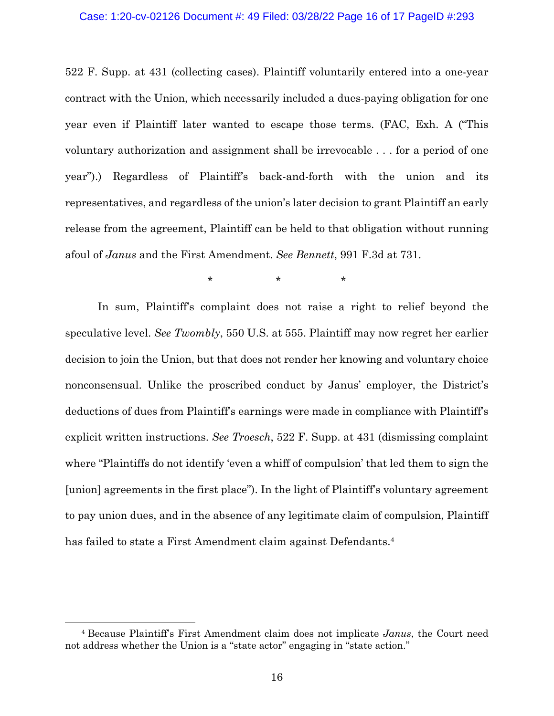## Case: 1:20-cv-02126 Document #: 49 Filed: 03/28/22 Page 16 of 17 PageID #:293

522 F. Supp. at 431 (collecting cases). Plaintiff voluntarily entered into a one-year contract with the Union, which necessarily included a dues-paying obligation for one year even if Plaintiff later wanted to escape those terms. (FAC, Exh. A ("This voluntary authorization and assignment shall be irrevocable . . . for a period of one year").) Regardless of Plaintiff's back-and-forth with the union and its representatives, and regardless of the union's later decision to grant Plaintiff an early release from the agreement, Plaintiff can be held to that obligation without running afoul of *Janus* and the First Amendment. *See Bennett*, 991 F.3d at 731.

 $\star$  \*  $\star$  \*

In sum, Plaintiff's complaint does not raise a right to relief beyond the speculative level. *See Twombly*, 550 U.S. at 555. Plaintiff may now regret her earlier decision to join the Union, but that does not render her knowing and voluntary choice nonconsensual. Unlike the proscribed conduct by Janus' employer, the District's deductions of dues from Plaintiff's earnings were made in compliance with Plaintiff's explicit written instructions. *See Troesch*, 522 F. Supp. at 431 (dismissing complaint where "Plaintiffs do not identify 'even a whiff of compulsion' that led them to sign the [union] agreements in the first place"). In the light of Plaintiff's voluntary agreement to pay union dues, and in the absence of any legitimate claim of compulsion, Plaintiff has failed to state a First Amendment claim against Defendants.<sup>4</sup>

<sup>4</sup> Because Plaintiff's First Amendment claim does not implicate *Janus*, the Court need not address whether the Union is a "state actor" engaging in "state action."